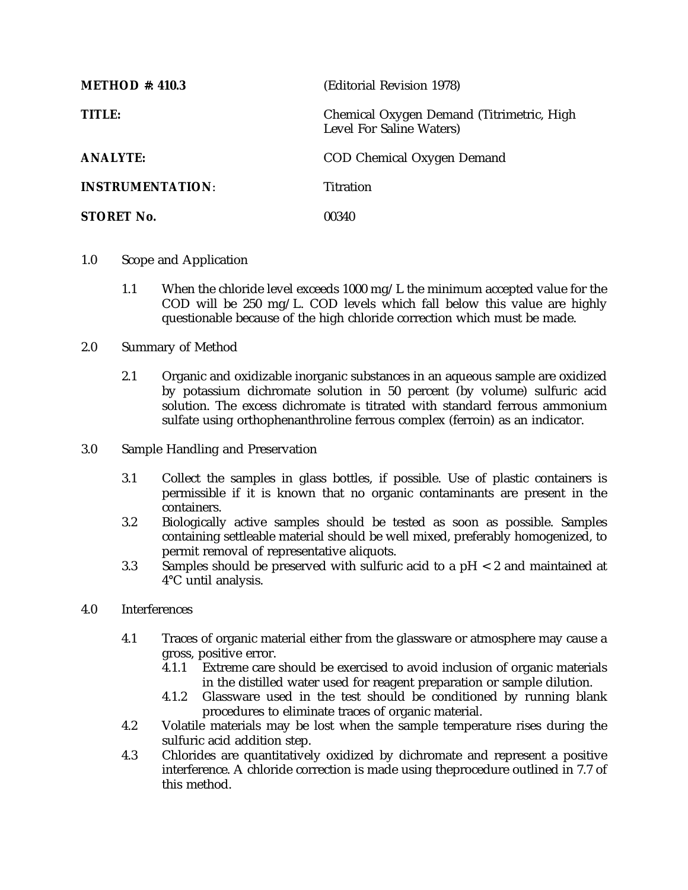| <b>METHOD #: 410.3</b>  | (Editorial Revision 1978)                                             |
|-------------------------|-----------------------------------------------------------------------|
| TITLE:                  | Chemical Oxygen Demand (Titrimetric, High<br>Level For Saline Waters) |
| <b>ANALYTE:</b>         | COD Chemical Oxygen Demand                                            |
| <b>INSTRUMENTATION:</b> | Titration                                                             |
| <b>STORET No.</b>       | 00340                                                                 |

- 1.0 Scope and Application
	- 1.1 When the chloride level exceeds 1000 mg/L the minimum accepted value for the COD will be 250 mg/L. COD levels which fall below this value are highly questionable because of the high chloride correction which must be made.
- 2.0 Summary of Method
	- 2.1 Organic and oxidizable inorganic substances in an aqueous sample are oxidized by potassium dichromate solution in 50 percent (by volume) sulfuric acid solution. The excess dichromate is titrated with standard ferrous ammonium sulfate using orthophenanthroline ferrous complex (ferroin) as an indicator.
- 3.0 Sample Handling and Preservation
	- 3.1 Collect the samples in glass bottles, if possible. Use of plastic containers is permissible if it is known that no organic contaminants are present in the containers.
	- 3.2 Biologically active samples should be tested as soon as possible. Samples containing settleable material should be well mixed, preferably homogenized, to permit removal of representative aliquots.
	- 3.3 Samples should be preserved with sulfuric acid to a pH < 2 and maintained at 4°C until analysis.
- 4.0 Interferences
	- 4.1 Traces of organic material either from the glassware or atmosphere may cause a gross, positive error.
		- 4.1.1 Extreme care should be exercised to avoid inclusion of organic materials in the distilled water used for reagent preparation or sample dilution.
		- 4.1.2 Glassware used in the test should be conditioned by running blank procedures to eliminate traces of organic material.
	- 4.2 Volatile materials may be lost when the sample temperature rises during the sulfuric acid addition step.
	- 4.3 Chlorides are quantitatively oxidized by dichromate and represent a positive interference. A chloride correction is made using theprocedure outlined in 7.7 of this method.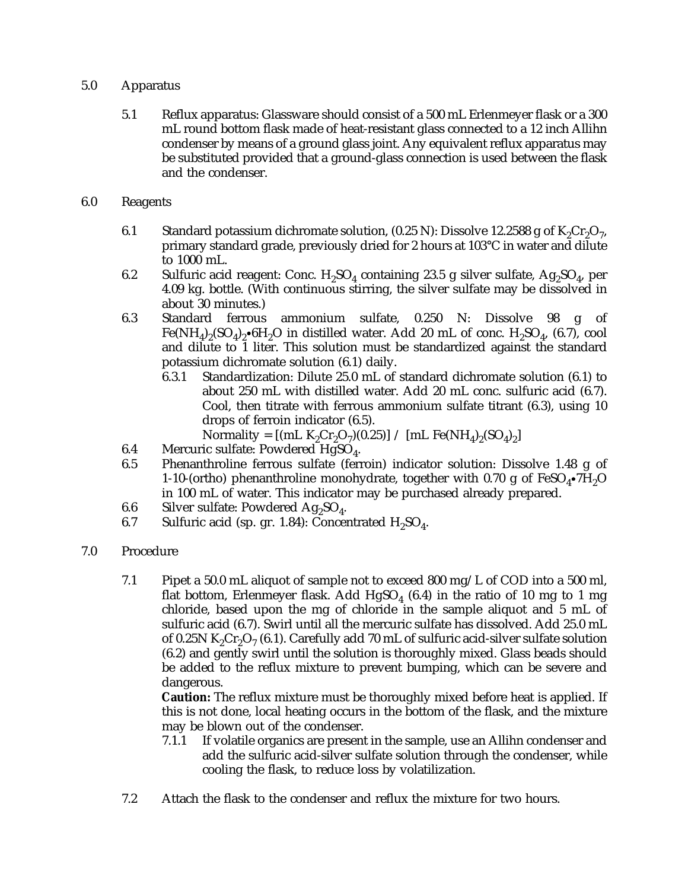## 5.0 Apparatus

- 5.1 Reflux apparatus: Glassware should consist of a 500 mL Erlenmeyer flask or a 300 mL round bottom flask made of heat-resistant glass connected to a 12 inch Allihn condenser by means of a ground glass joint. Any equivalent reflux apparatus may be substituted provided that a ground-glass connection is used between the flask and the condenser.
- 6.0 Reagents
	- 6.1 Standard potassium dichromate solution,  $(0.25 \text{ N})$ : Dissolve 12.2588 g of K<sub>2</sub>Cr<sub>2</sub>O<sub>7</sub>, primary standard grade, previously dried for 2 hours at 103°C in water and dilute to 1000 mL.
	- 6.2 Sulfuric acid reagent: Conc.  $H_2SO_4$  containing 23.5 g silver sulfate,  $Ag_2SO_4$ , per 4.09 kg. bottle. (With continuous stirring, the silver sulfate may be dissolved in about 30 minutes.)
	- 6.3 Standard ferrous ammonium sulfate, 0.250 N: Dissolve 98 g of Fe(NH<sub>4</sub>)<sub>2</sub>(SO<sub>4</sub>)<sub>2</sub>•6H<sub>2</sub>O in distilled water. Add 20 mL of conc. H<sub>2</sub>SO<sub>4</sub>, (6.7), cool and dilute to 1 liter. This solution must be standardized against the standard potassium dichromate solution (6.1) daily.
		- 6.3.1 Standardization: Dilute 25.0 mL of standard dichromate solution (6.1) to about 250 mL with distilled water. Add 20 mL conc. sulfuric acid (6.7). Cool, then titrate with ferrous ammonium sulfate titrant (6.3), using 10 drops of ferroin indicator (6.5).

Normality =  $[(mL K_2Cr_2O_7)(0.25)] / [mL Fe(NH_4)_2(SO_4)_2]$ 

- 6.4 Mercuric sulfate: Powdered HgSO<sub>4</sub>.<br>6.5 Phenanthroline ferrous sulfate (ferrous)
- 6.5 Phenanthroline ferrous sulfate (ferroin) indicator solution: Dissolve 1.48 g of 1-10-(ortho) phenanthroline monohydrate, together with 0.70 g of  $FeSO_4\text{-}7H_2O$ in 100 mL of water. This indicator may be purchased already prepared.
- 6.6 Silver sulfate: Powdered  $Ag_2SO_4$ .<br>6.7 Sulfuric acid (sp. *g*r. 1.84): Concen
- Sulfuric acid (sp. gr. 1.84): Concentrated  $H_2SO_4$ .
- 7.0 Procedure
	- 7.1 Pipet a 50.0 mL aliquot of sample not to exceed 800 mg/L of COD into a 500 ml, flat bottom, Erlenmeyer flask. Add  $HgSO_4$  (6.4) in the ratio of 10 mg to 1 mg chloride, based upon the mg of chloride in the sample aliquot and 5 mL of sulfuric acid (6.7). Swirl until all the mercuric sulfate has dissolved. Add 25.0 mL of 0.25N K<sub>2</sub>Cr<sub>2</sub>O<sub>7</sub> (6.1). Carefully add 70 mL of sulfuric acid-silver sulfate solution (6.2) and gently swirl until the solution is thoroughly mixed. Glass beads should be added to the reflux mixture to prevent bumping, which can be severe and dangerous.

**Caution:** The reflux mixture must be thoroughly mixed before heat is applied. If this is not done, local heating occurs in the bottom of the flask, and the mixture may be blown out of the condenser.

- 7.1.1 If volatile organics are present in the sample, use an Allihn condenser and add the sulfuric acid-silver sulfate solution through the condenser, while cooling the flask, to reduce loss by volatilization.
- 7.2 Attach the flask to the condenser and reflux the mixture for two hours.